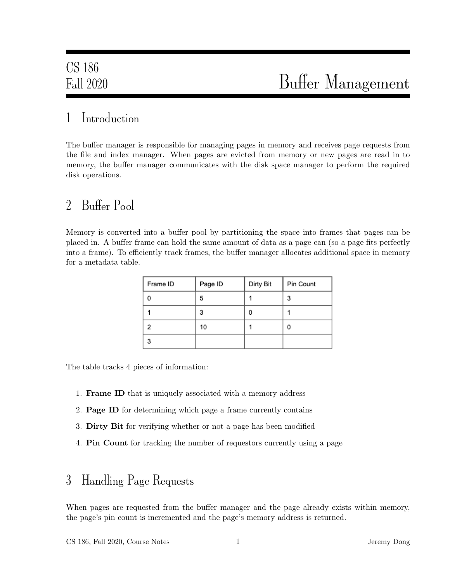## 1 Introduction

The buffer manager is responsible for managing pages in memory and receives page requests from the file and index manager. When pages are evicted from memory or new pages are read in to memory, the buffer manager communicates with the disk space manager to perform the required disk operations.

## 2 Buffer Pool

Memory is converted into a buffer pool by partitioning the space into frames that pages can be placed in. A buffer frame can hold the same amount of data as a page can (so a page fits perfectly into a frame). To efficiently track frames, the buffer manager allocates additional space in memory for a metadata table.

| Frame ID | Page ID | Dirty Bit | Pin Count |
|----------|---------|-----------|-----------|
|          | 5       |           | 3         |
|          | 3       | 0         |           |
| 2        | 10      |           | 0         |
| 3        |         |           |           |

The table tracks 4 pieces of information:

- 1. Frame ID that is uniquely associated with a memory address
- 2. Page ID for determining which page a frame currently contains
- 3. Dirty Bit for verifying whether or not a page has been modified
- 4. Pin Count for tracking the number of requestors currently using a page

### 3 Handling Page Requests

When pages are requested from the buffer manager and the page already exists within memory, the page's pin count is incremented and the page's memory address is returned.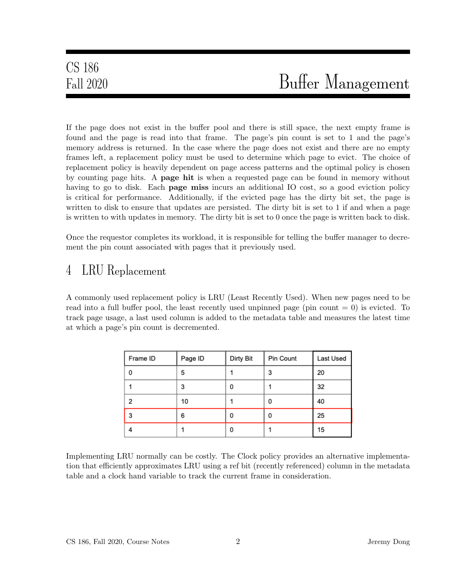If the page does not exist in the buffer pool and there is still space, the next empty frame is found and the page is read into that frame. The page's pin count is set to 1 and the page's memory address is returned. In the case where the page does not exist and there are no empty frames left, a replacement policy must be used to determine which page to evict. The choice of replacement policy is heavily dependent on page access patterns and the optimal policy is chosen by counting page hits. A page hit is when a requested page can be found in memory without having to go to disk. Each **page miss** incurs an additional IO cost, so a good eviction policy is critical for performance. Additionally, if the evicted page has the dirty bit set, the page is written to disk to ensure that updates are persisted. The dirty bit is set to 1 if and when a page is written to with updates in memory. The dirty bit is set to 0 once the page is written back to disk.

Once the requestor completes its workload, it is responsible for telling the buffer manager to decrement the pin count associated with pages that it previously used.

# 4 LRU Replacement

A commonly used replacement policy is LRU (Least Recently Used). When new pages need to be read into a full buffer pool, the least recently used unpinned page (pin count  $= 0$ ) is evicted. To track page usage, a last used column is added to the metadata table and measures the latest time at which a page's pin count is decremented.

| Frame ID | Page ID | Dirty Bit | Pin Count | Last Used |
|----------|---------|-----------|-----------|-----------|
| 0        | 5       |           | 3         | 20        |
|          | 3       | 0         |           | 32        |
| 2        | 10      |           | 0         | 40        |
| 3        | 6       | 0         | 0         | 25        |
|          |         | 0         |           | 15        |

Implementing LRU normally can be costly. The Clock policy provides an alternative implementation that efficiently approximates LRU using a ref bit (recently referenced) column in the metadata table and a clock hand variable to track the current frame in consideration.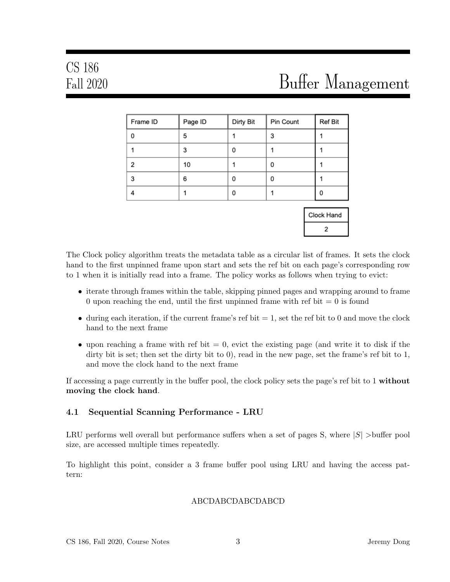| Frame ID | Page ID | Dirty Bit | Pin Count | Ref Bit |
|----------|---------|-----------|-----------|---------|
| $\Omega$ | 5       |           | 3         |         |
|          | 3       | 0         |           |         |
| 2        | 10      |           | 0         |         |
| 3        | 6       | 0         | 0         |         |
|          |         | 0         |           |         |

| ock Hand |  |
|----------|--|
|          |  |

The Clock policy algorithm treats the metadata table as a circular list of frames. It sets the clock hand to the first unpinned frame upon start and sets the ref bit on each page's corresponding row to 1 when it is initially read into a frame. The policy works as follows when trying to evict:

- iterate through frames within the table, skipping pinned pages and wrapping around to frame 0 upon reaching the end, until the first unpinned frame with ref bit  $= 0$  is found
- during each iteration, if the current frame's ref bit  $= 1$ , set the ref bit to 0 and move the clock hand to the next frame
- upon reaching a frame with ref bit  $= 0$ , evict the existing page (and write it to disk if the dirty bit is set; then set the dirty bit to 0), read in the new page, set the frame's ref bit to 1, and move the clock hand to the next frame

If accessing a page currently in the buffer pool, the clock policy sets the page's ref bit to 1 without moving the clock hand.

### 4.1 Sequential Scanning Performance - LRU

LRU performs well overall but performance suffers when a set of pages S, where  $|S|$  >buffer pool size, are accessed multiple times repeatedly.

To highlight this point, consider a 3 frame buffer pool using LRU and having the access pattern:

#### ABCDABCDABCDABCD